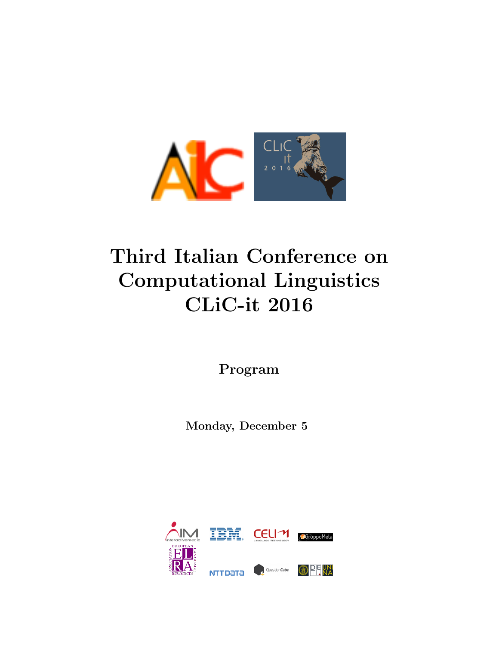

# Third Italian Conference on Computational Linguistics CLiC-it 2016

Program

Monday, December 5

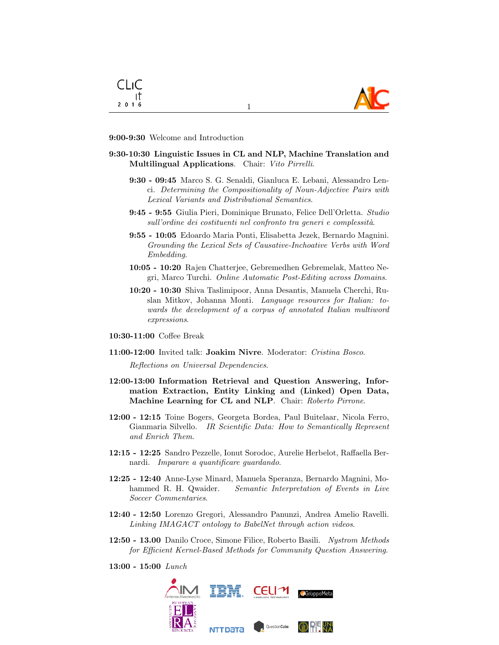



#### 9:00-9:30 Welcome and Introduction

### 9:30-10:30 Linguistic Issues in CL and NLP, Machine Translation and Multilingual Applications. Chair: Vito Pirrelli.

1

- 9:30 09:45 Marco S. G. Senaldi, Gianluca E. Lebani, Alessandro Lenci. Determining the Compositionality of Noun-Adjective Pairs with Lexical Variants and Distributional Semantics.
- 9:45 9:55 Giulia Pieri, Dominique Brunato, Felice Dell'Orletta. Studio  $s$ ull'ordine dei costituenti nel confronto tra generi e complessità.
- 9:55 10:05 Edoardo Maria Ponti, Elisabetta Jezek, Bernardo Magnini. Grounding the Lexical Sets of Causative-Inchoative Verbs with Word Embedding.
- 10:05 10:20 Rajen Chatterjee, Gebremedhen Gebremelak, Matteo Negri, Marco Turchi. Online Automatic Post-Editing across Domains.
- 10:20 10:30 Shiva Taslimipoor, Anna Desantis, Manuela Cherchi, Ruslan Mitkov, Johanna Monti. Language resources for Italian: towards the development of a corpus of annotated Italian multiword expressions.
- 10:30-11:00 Coffee Break
- 11:00-12:00 Invited talk: Joakim Nivre. Moderator: Cristina Bosco.

Reflections on Universal Dependencies.

- 12:00-13:00 Information Retrieval and Question Answering, Information Extraction, Entity Linking and (Linked) Open Data, Machine Learning for CL and NLP. Chair: Roberto Pirrone.
- 12:00 12:15 Toine Bogers, Georgeta Bordea, Paul Buitelaar, Nicola Ferro, Gianmaria Silvello. IR Scientific Data: How to Semantically Represent and Enrich Them.
- 12:15 12:25 Sandro Pezzelle, Ionut Sorodoc, Aurelie Herbelot, Raffaella Bernardi. Imparare a quantificare guardando.
- 12:25 12:40 Anne-Lyse Minard, Manuela Speranza, Bernardo Magnini, Mohammed R. H. Qwaider. Semantic Interpretation of Events in Live Soccer Commentaries.
- 12:40 12:50 Lorenzo Gregori, Alessandro Panunzi, Andrea Amelio Ravelli. Linking IMAGACT ontology to BabelNet through action videos.
- 12:50 13.00 Danilo Croce, Simone Filice, Roberto Basili. Nystrom Methods for Efficient Kernel-Based Methods for Community Question Answering.
- 13:00 15:00 Lunch

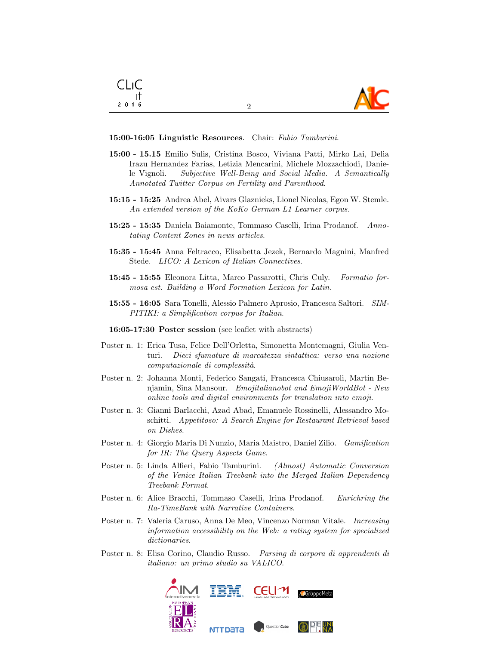

#### 15:00-16:05 Linguistic Resources. Chair: Fabio Tamburini.

CLIC ा  $2016$ 

15:00 - 15.15 Emilio Sulis, Cristina Bosco, Viviana Patti, Mirko Lai, Delia Irazu Hernandez Farias, Letizia Mencarini, Michele Mozzachiodi, Daniele Vignoli. Subjective Well-Being and Social Media. A Semantically Annotated Twitter Corpus on Fertility and Parenthood.

2

- 15:15 15:25 Andrea Abel, Aivars Glaznieks, Lionel Nicolas, Egon W. Stemle. An extended version of the KoKo German L1 Learner corpus.
- 15:25 15:35 Daniela Baiamonte, Tommaso Caselli, Irina Prodanof. Annotating Content Zones in news articles.
- 15:35 15:45 Anna Feltracco, Elisabetta Jezek, Bernardo Magnini, Manfred Stede. LICO: A Lexicon of Italian Connectives.
- 15:45 15:55 Eleonora Litta, Marco Passarotti, Chris Culy. Formatio formosa est. Building a Word Formation Lexicon for Latin.
- 15:55 16:05 Sara Tonelli, Alessio Palmero Aprosio, Francesca Saltori. SIM-PITIKI: a Simplification corpus for Italian.
- 16:05-17:30 Poster session (see leaflet with abstracts)
- Poster n. 1: Erica Tusa, Felice Dell'Orletta, Simonetta Montemagni, Giulia Venturi. Dieci sfumature di marcatezza sintattica: verso una nozione computazionale di complessità.
- Poster n. 2: Johanna Monti, Federico Sangati, Francesca Chiusaroli, Martin Benjamin, Sina Mansour. Emojitalianobot and EmojiWorldBot - New online tools and digital environments for translation into emoji.
- Poster n. 3: Gianni Barlacchi, Azad Abad, Emanuele Rossinelli, Alessandro Moschitti. Appetitoso: A Search Engine for Restaurant Retrieval based on Dishes.
- Poster n. 4: Giorgio Maria Di Nunzio, Maria Maistro, Daniel Zilio. Gamification for IR: The Query Aspects Game.
- Poster n. 5: Linda Alfieri, Fabio Tamburini. (Almost) Automatic Conversion of the Venice Italian Treebank into the Merged Italian Dependency Treebank Format.
- Poster n. 6: Alice Bracchi, Tommaso Caselli, Irina Prodanof. Enrichring the Ita-TimeBank with Narrative Containers.
- Poster n. 7: Valeria Caruso, Anna De Meo, Vincenzo Norman Vitale. Increasing information accessibility on the Web: a rating system for specialized dictionaries.
- Poster n. 8: Elisa Corino, Claudio Russo. Parsing di corpora di apprendenti di italiano: un primo studio su VALICO.

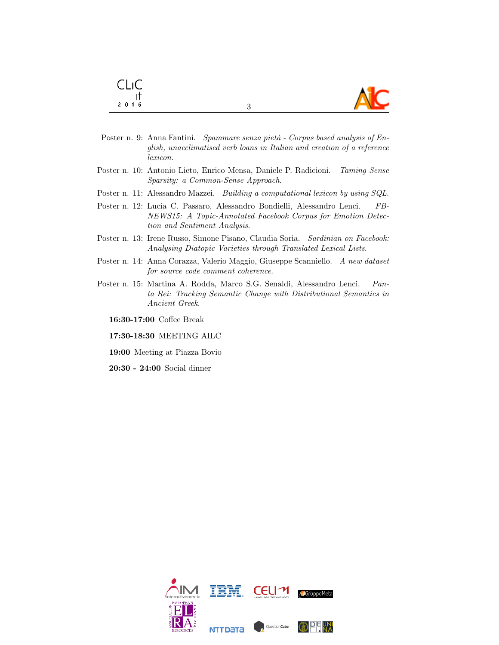| <b>CLIC</b>              |           |
|--------------------------|-----------|
| $\overline{\phantom{a}}$ | <b>AC</b> |
| 2016                     |           |

- Poster n. 9: Anna Fantini. Spammare senza pietà Corpus based analysis of English, unacclimatised verb loans in Italian and creation of a reference lexicon.
- Poster n. 10: Antonio Lieto, Enrico Mensa, Daniele P. Radicioni. Taming Sense Sparsity: a Common-Sense Approach.
- Poster n. 11: Alessandro Mazzei. Building a computational lexicon by using SQL.
- Poster n. 12: Lucia C. Passaro, Alessandro Bondielli, Alessandro Lenci. FB-NEWS15: A Topic-Annotated Facebook Corpus for Emotion Detection and Sentiment Analysis.
- Poster n. 13: Irene Russo, Simone Pisano, Claudia Soria. Sardinian on Facebook: Analysing Diatopic Varieties through Translated Lexical Lists.
- Poster n. 14: Anna Corazza, Valerio Maggio, Giuseppe Scanniello. A new dataset for source code comment coherence.
- Poster n. 15: Martina A. Rodda, Marco S.G. Senaldi, Alessandro Lenci. Panta Rei: Tracking Semantic Change with Distributional Semantics in Ancient Greek.

16:30-17:00 Coffee Break

- 17:30-18:30 MEETING AILC
- 19:00 Meeting at Piazza Bovio
- 20:30 24:00 Social dinner

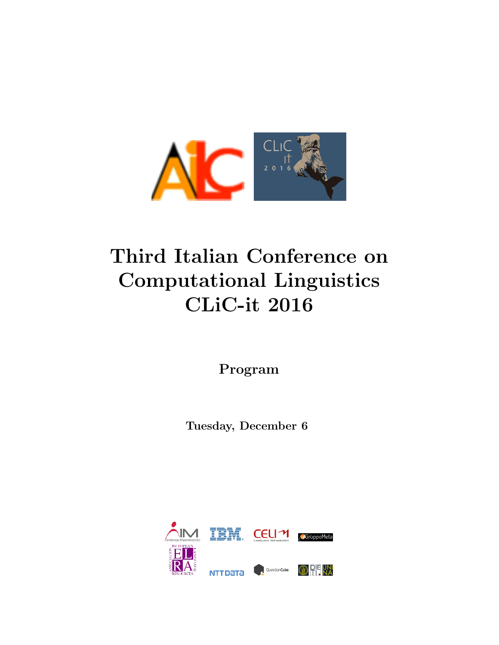

# Third Italian Conference on Computational Linguistics CLiC-it 2016

Program

Tuesday, December 6

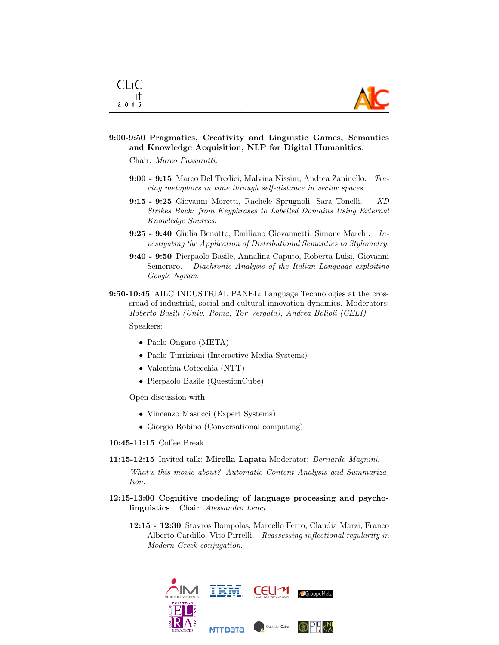

### 9:00-9:50 Pragmatics, Creativity and Linguistic Games, Semantics and Knowledge Acquisition, NLP for Digital Humanities.

1

Chair: Marco Passarotti.

- 9:00 9:15 Marco Del Tredici, Malvina Nissim, Andrea Zaninello. Tracing metaphors in time through self-distance in vector spaces.
- 9:15 9:25 Giovanni Moretti, Rachele Sprugnoli, Sara Tonelli. KD Strikes Back: from Keyphrases to Labelled Domains Using External Knowledge Sources.
- 9:25 9:40 Giulia Benotto, Emiliano Giovannetti, Simone Marchi. Investigating the Application of Distributional Semantics to Stylometry.
- 9:40 9:50 Pierpaolo Basile, Annalina Caputo, Roberta Luisi, Giovanni Semeraro. Diachronic Analysis of the Italian Language exploiting Google Ngram.
- 9:50-10:45 AILC INDUSTRIAL PANEL: Language Technologies at the crossroad of industrial, social and cultural innovation dynamics. Moderators: Roberto Basili (Univ. Roma, Tor Vergata), Andrea Bolioli (CELI)

Speakers:

- Paolo Ongaro (META)
- Paolo Turriziani (Interactive Media Systems)
- Valentina Cotecchia (NTT)
- Pierpaolo Basile (QuestionCube)

Open discussion with:

- Vincenzo Masucci (Expert Systems)
- Giorgio Robino (Conversational computing)
- 10:45-11:15 Coffee Break
- 11:15-12:15 Invited talk: Mirella Lapata Moderator: Bernardo Magnini.

What's this movie about? Automatic Content Analysis and Summarization.

- 12:15-13:00 Cognitive modeling of language processing and psycholinguistics. Chair: Alessandro Lenci.
	- 12:15 12:30 Stavros Bompolas, Marcello Ferro, Claudia Marzi, Franco Alberto Cardillo, Vito Pirrelli. Reassessing inflectional regularity in Modern Greek conjugation.

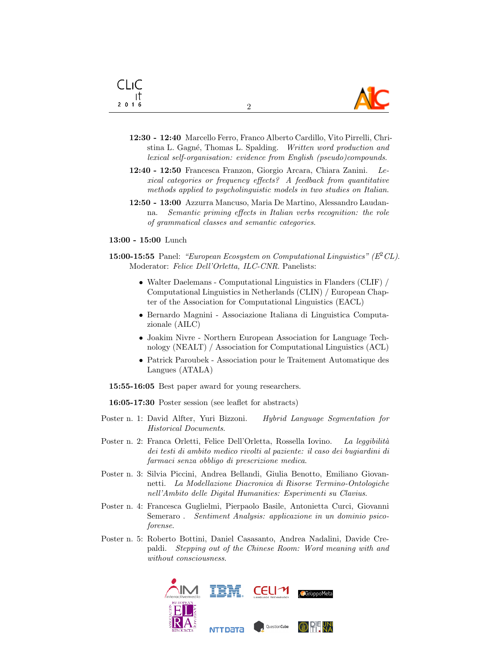

12:30 - 12:40 Marcello Ferro, Franco Alberto Cardillo, Vito Pirrelli, Christina L. Gagné, Thomas L. Spalding. Written word production and lexical self-organisation: evidence from English (pseudo)compounds.

2

- 12:40 12:50 Francesca Franzon, Giorgio Arcara, Chiara Zanini. Lexical categories or frequency effects? A feedback from quantitative methods applied to psycholinguistic models in two studies on Italian.
- 12:50 13:00 Azzurra Mancuso, Maria De Martino, Alessandro Laudanna. Semantic priming effects in Italian verbs recognition: the role of grammatical classes and semantic categories.

13:00 - 15:00 Lunch

CLIC ा  $2016$ 

- 15:00-15:55 Panel: "European Ecosystem on Computational Linguistics" ( $E^2CL$ ). Moderator: Felice Dell'Orletta, ILC-CNR. Panelists:
	- Walter Daelemans Computational Linguistics in Flanders (CLIF) / Computational Linguistics in Netherlands (CLIN) / European Chapter of the Association for Computational Linguistics (EACL)
	- Bernardo Magnini Associazione Italiana di Linguistica Computazionale (AILC)
	- Joakim Nivre Northern European Association for Language Technology (NEALT) / Association for Computational Linguistics (ACL)
	- Patrick Paroubek Association pour le Traitement Automatique des Langues (ATALA)
- 15:55-16:05 Best paper award for young researchers.

16:05-17:30 Poster session (see leaflet for abstracts)

- Poster n. 1: David Alfter, Yuri Bizzoni. Hybrid Language Segmentation for Historical Documents.
- Poster n. 2: Franca Orletti, Felice Dell'Orletta, Rossella Iovino. La leggibilità dei testi di ambito medico rivolti al paziente: il caso dei bugiardini di farmaci senza obbligo di prescrizione medica.
- Poster n. 3: Silvia Piccini, Andrea Bellandi, Giulia Benotto, Emiliano Giovannetti. La Modellazione Diacronica di Risorse Termino-Ontologiche nell'Ambito delle Digital Humanities: Esperimenti su Clavius.
- Poster n. 4: Francesca Guglielmi, Pierpaolo Basile, Antonietta Curci, Giovanni Semeraro . Sentiment Analysis: applicazione in un dominio psicoforense.
- Poster n. 5: Roberto Bottini, Daniel Casasanto, Andrea Nadalini, Davide Crepaldi. Stepping out of the Chinese Room: Word meaning with and without consciousness.